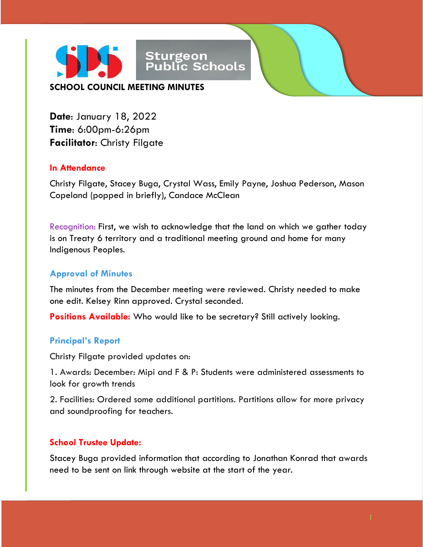

**Date**: January 18, 2022 **Time**: 6:00pm-6:26pm **Facilitator**: Christy Filgate

## **In Attendance**

Christy Filgate, Stacey Buga, Crystal Wass, Emily Payne, Joshua Pederson, Mason Copeland (popped in briefly), Candace McClean

Recognition: First, we wish to acknowledge that the land on which we gather today is on Treaty 6 territory and a traditional meeting ground and home for many Indigenous Peoples.

## **Approval of Minutes**

The minutes from the December meeting were reviewed. Christy needed to make one edit. Kelsey Rinn approved. Crystal seconded.

**Positions Available:** Who would like to be secretary? Still actively looking.

## **Principal's Report**

Christy Filgate provided updates on:

1. Awards: December: Mipi and F & P: Students were administered assessments to look for growth trends

2. Facilities: Ordered some additional partitions. Partitions allow for more privacy and soundproofing for teachers.

## **School Trustee Update:**

Stacey Buga provided information that according to Jonathan Konrad that awards need to be sent on link through website at the start of the year.